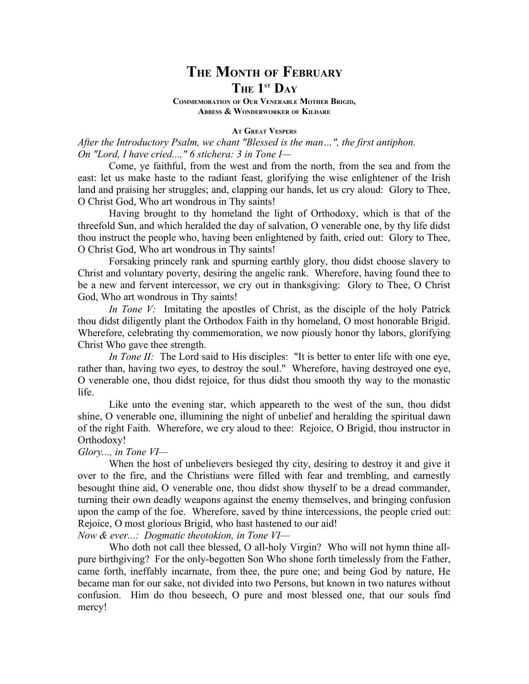# **THE MONTH OF FEBRUARY THE 1ST DAY**

**COMMEMORATION OF OUR VENERABLE MOTHER BRIGID, ABBESS & WONDERWORKER OF KILDARE**

**AT GREAT VESPERS**

*After the Introductory Psalm, we chant "Blessed is the man…", the first antiphon. On "Lord, I have cried...," 6 stichera: 3 in Tone I—*

Come, ye faithful, from the west and from the north, from the sea and from the east: let us make haste to the radiant feast, glorifying the wise enlightener of the Irish land and praising her struggles; and, clapping our hands, let us cry aloud: Glory to Thee, O Christ God, Who art wondrous in Thy saints!

Having brought to thy homeland the light of Orthodoxy, which is that of the threefold Sun, and which heralded the day of salvation, O venerable one, by thy life didst thou instruct the people who, having been enlightened by faith, cried out: Glory to Thee, O Christ God, Who art wondrous in Thy saints!

Forsaking princely rank and spurning earthly glory, thou didst choose slavery to Christ and voluntary poverty, desiring the angelic rank. Wherefore, having found thee to be a new and fervent intercessor, we cry out in thanksgiving: Glory to Thee, O Christ God, Who art wondrous in Thy saints!

*In Tone V:* Imitating the apostles of Christ, as the disciple of the holy Patrick thou didst diligently plant the Orthodox Faith in thy homeland, O most honorable Brigid. Wherefore, celebrating thy commemoration, we now piously honor thy labors, glorifying Christ Who gave thee strength.

*In Tone II:* The Lord said to His disciples: "It is better to enter life with one eye, rather than, having two eyes, to destroy the soul." Wherefore, having destroyed one eye, O venerable one, thou didst rejoice, for thus didst thou smooth thy way to the monastic life.

Like unto the evening star, which appeareth to the west of the sun, thou didst shine, O venerable one, illumining the night of unbelief and heralding the spiritual dawn of the right Faith. Wherefore, we cry aloud to thee: Rejoice, O Brigid, thou instructor in Orthodoxy!

## *Glory..., in Tone VI—*

When the host of unbelievers besieged thy city, desiring to destroy it and give it over to the fire, and the Christians were filled with fear and trembling, and earnestly besought thine aid, O venerable one, thou didst show thyself to be a dread commander, turning their own deadly weapons against the enemy themselves, and bringing confusion upon the camp of the foe. Wherefore, saved by thine intercessions, the people cried out: Rejoice, O most glorious Brigid, who hast hastened to our aid!

*Now & ever...: Dogmatic theotokion, in Tone VI—*

Who doth not call thee blessed, O all-holy Virgin? Who will not hymn thine allpure birthgiving? For the only-begotten Son Who shone forth timelessly from the Father, came forth, ineffably incarnate, from thee, the pure one; and being God by nature, He became man for our sake, not divided into two Persons, but known in two natures without confusion. Him do thou beseech, O pure and most blessed one, that our souls find mercy!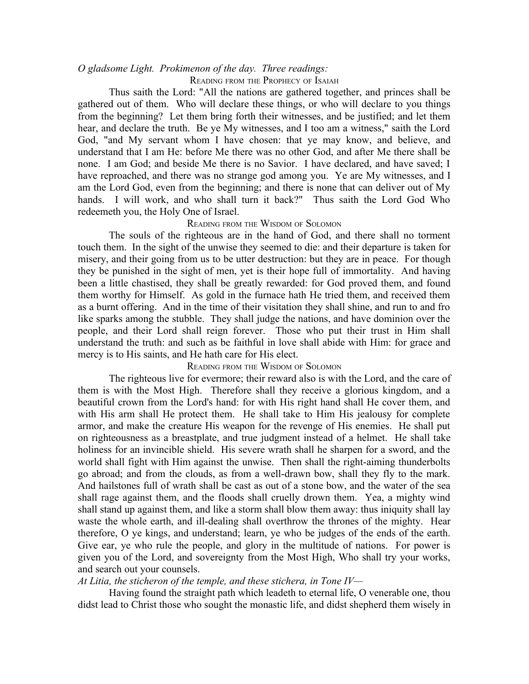## *O gladsome Light. Prokimenon of the day. Three readings:*

## READING FROM THE PROPHECY OF ISAIAH

Thus saith the Lord: "All the nations are gathered together, and princes shall be gathered out of them. Who will declare these things, or who will declare to you things from the beginning? Let them bring forth their witnesses, and be justified; and let them hear, and declare the truth. Be ye My witnesses, and I too am a witness," saith the Lord God, "and My servant whom I have chosen: that ye may know, and believe, and understand that I am He: before Me there was no other God, and after Me there shall be none. I am God; and beside Me there is no Savior. I have declared, and have saved; I have reproached, and there was no strange god among you. Ye are My witnesses, and I am the Lord God, even from the beginning; and there is none that can deliver out of My hands. I will work, and who shall turn it back?" Thus saith the Lord God Who redeemeth you, the Holy One of Israel.

## READING FROM THE WISDOM OF SOLOMON

The souls of the righteous are in the hand of God, and there shall no torment touch them. In the sight of the unwise they seemed to die: and their departure is taken for misery, and their going from us to be utter destruction: but they are in peace. For though they be punished in the sight of men, yet is their hope full of immortality. And having been a little chastised, they shall be greatly rewarded: for God proved them, and found them worthy for Himself. As gold in the furnace hath He tried them, and received them as a burnt offering. And in the time of their visitation they shall shine, and run to and fro like sparks among the stubble. They shall judge the nations, and have dominion over the people, and their Lord shall reign forever. Those who put their trust in Him shall understand the truth: and such as be faithful in love shall abide with Him: for grace and mercy is to His saints, and He hath care for His elect.

## READING FROM THE WISDOM OF SOLOMON

The righteous live for evermore; their reward also is with the Lord, and the care of them is with the Most High. Therefore shall they receive a glorious kingdom, and a beautiful crown from the Lord's hand: for with His right hand shall He cover them, and with His arm shall He protect them. He shall take to Him His jealousy for complete armor, and make the creature His weapon for the revenge of His enemies. He shall put on righteousness as a breastplate, and true judgment instead of a helmet. He shall take holiness for an invincible shield. His severe wrath shall he sharpen for a sword, and the world shall fight with Him against the unwise. Then shall the right-aiming thunderbolts go abroad; and from the clouds, as from a well-drawn bow, shall they fly to the mark. And hailstones full of wrath shall be cast as out of a stone bow, and the water of the sea shall rage against them, and the floods shall cruelly drown them. Yea, a mighty wind shall stand up against them, and like a storm shall blow them away: thus iniquity shall lay waste the whole earth, and ill-dealing shall overthrow the thrones of the mighty. Hear therefore, O ye kings, and understand; learn, ye who be judges of the ends of the earth. Give ear, ye who rule the people, and glory in the multitude of nations. For power is given you of the Lord, and sovereignty from the Most High, Who shall try your works, and search out your counsels.

## *At Litia, the sticheron of the temple, and these stichera, in Tone IV—*

Having found the straight path which leadeth to eternal life, O venerable one, thou didst lead to Christ those who sought the monastic life, and didst shepherd them wisely in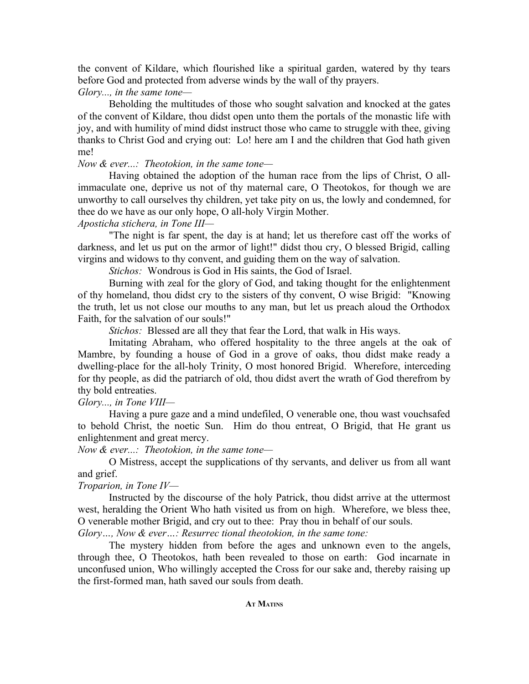the convent of Kildare, which flourished like a spiritual garden, watered by thy tears before God and protected from adverse winds by the wall of thy prayers.

## *Glory..., in the same tone—*

Beholding the multitudes of those who sought salvation and knocked at the gates of the convent of Kildare, thou didst open unto them the portals of the monastic life with joy, and with humility of mind didst instruct those who came to struggle with thee, giving thanks to Christ God and crying out: Lo! here am I and the children that God hath given me!

## *Now & ever...: Theotokion, in the same tone—*

Having obtained the adoption of the human race from the lips of Christ, O allimmaculate one, deprive us not of thy maternal care, O Theotokos, for though we are unworthy to call ourselves thy children, yet take pity on us, the lowly and condemned, for thee do we have as our only hope, O all-holy Virgin Mother.

## *Aposticha stichera, in Tone III—*

"The night is far spent, the day is at hand; let us therefore cast off the works of darkness, and let us put on the armor of light!" didst thou cry, O blessed Brigid, calling virgins and widows to thy convent, and guiding them on the way of salvation.

*Stichos:* Wondrous is God in His saints, the God of Israel.

Burning with zeal for the glory of God, and taking thought for the enlightenment of thy homeland, thou didst cry to the sisters of thy convent, O wise Brigid: "Knowing the truth, let us not close our mouths to any man, but let us preach aloud the Orthodox Faith, for the salvation of our souls!"

*Stichos:* Blessed are all they that fear the Lord, that walk in His ways.

Imitating Abraham, who offered hospitality to the three angels at the oak of Mambre, by founding a house of God in a grove of oaks, thou didst make ready a dwelling-place for the all-holy Trinity, O most honored Brigid. Wherefore, interceding for thy people, as did the patriarch of old, thou didst avert the wrath of God therefrom by thy bold entreaties.

*Glory..., in Tone VIII—*

Having a pure gaze and a mind undefiled, O venerable one, thou wast vouchsafed to behold Christ, the noetic Sun. Him do thou entreat, O Brigid, that He grant us enlightenment and great mercy.

*Now & ever...: Theotokion, in the same tone—*

O Mistress, accept the supplications of thy servants, and deliver us from all want and grief.

*Troparion, in Tone IV—*

Instructed by the discourse of the holy Patrick, thou didst arrive at the uttermost west, heralding the Orient Who hath visited us from on high. Wherefore, we bless thee, O venerable mother Brigid, and cry out to thee: Pray thou in behalf of our souls.

*Glory…, Now & ever…: Resurrec tional theotokion, in the same tone:*

The mystery hidden from before the ages and unknown even to the angels, through thee, O Theotokos, hath been revealed to those on earth: God incarnate in unconfused union, Who willingly accepted the Cross for our sake and, thereby raising up the first-formed man, hath saved our souls from death.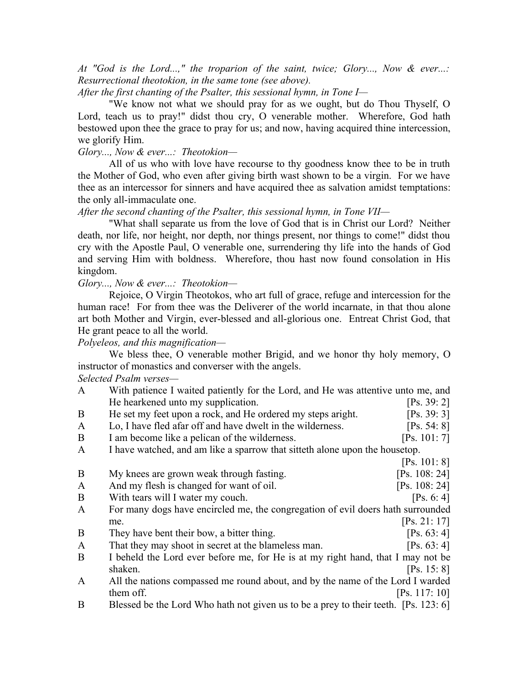*At "God is the Lord...," the troparion of the saint, twice; Glory..., Now & ever...: Resurrectional theotokion, in the same tone (see above).*

*After the first chanting of the Psalter, this sessional hymn, in Tone I—*

"We know not what we should pray for as we ought, but do Thou Thyself, O Lord, teach us to pray!" didst thou cry, O venerable mother. Wherefore, God hath bestowed upon thee the grace to pray for us; and now, having acquired thine intercession, we glorify Him.

*Glory..., Now & ever...: Theotokion—*

All of us who with love have recourse to thy goodness know thee to be in truth the Mother of God, who even after giving birth wast shown to be a virgin. For we have thee as an intercessor for sinners and have acquired thee as salvation amidst temptations: the only all-immaculate one.

*After the second chanting of the Psalter, this sessional hymn, in Tone VII—*

"What shall separate us from the love of God that is in Christ our Lord? Neither death, nor life, nor height, nor depth, nor things present, nor things to come!" didst thou cry with the Apostle Paul, O venerable one, surrendering thy life into the hands of God and serving Him with boldness. Wherefore, thou hast now found consolation in His kingdom.

*Glory..., Now & ever...: Theotokion—*

Rejoice, O Virgin Theotokos, who art full of grace, refuge and intercession for the human race! For from thee was the Deliverer of the world incarnate, in that thou alone art both Mother and Virgin, ever-blessed and all-glorious one. Entreat Christ God, that He grant peace to all the world.

*Polyeleos, and this magnification—*

We bless thee, O venerable mother Brigid, and we honor thy holy memory, O instructor of monastics and converser with the angels.

*Selected Psalm verses—*

| $\mathbf{A}$ | With patience I waited patiently for the Lord, and He was attentive unto me, and    |               |  |  |
|--------------|-------------------------------------------------------------------------------------|---------------|--|--|
|              | He hearkened unto my supplication.                                                  | [Ps. 39: 2]   |  |  |
| B            | He set my feet upon a rock, and He ordered my steps aright.                         | [Ps. 39: 3]   |  |  |
| $\mathbf{A}$ | Lo, I have fled afar off and have dwelt in the wilderness.                          | [Ps. 54: 8]   |  |  |
| B            | I am become like a pelican of the wilderness.                                       | [Ps. 101: 7]  |  |  |
| $\mathbf{A}$ | I have watched, and am like a sparrow that sitteth alone upon the housetop.         |               |  |  |
|              |                                                                                     | [Ps. 101: 8]  |  |  |
| B            | My knees are grown weak through fasting.                                            | [Ps. 108: 24] |  |  |
| $\mathbf{A}$ | And my flesh is changed for want of oil.                                            | [Ps. 108: 24] |  |  |
| B            | With tears will I water my couch.                                                   | [Ps. 6: 4]    |  |  |
| $\mathbf{A}$ | For many dogs have encircled me, the congregation of evil doers hath surrounded     |               |  |  |
|              | me.                                                                                 | [Ps. 21: 17]  |  |  |
| B            | They have bent their bow, a bitter thing.                                           | [Ps. 63: 4]   |  |  |
| $\mathbf{A}$ | That they may shoot in secret at the blameless man.                                 | [Ps. 63: 4]   |  |  |
| B            | I beheld the Lord ever before me, for He is at my right hand, that I may not be     |               |  |  |
|              | shaken.                                                                             | [Ps. 15: 8]   |  |  |
| $\mathbf{A}$ | All the nations compassed me round about, and by the name of the Lord I warded      |               |  |  |
|              | them off.                                                                           | [Ps. 117: 10] |  |  |
| B            | Blessed be the Lord Who hath not given us to be a prey to their teeth. [Ps. 123: 6] |               |  |  |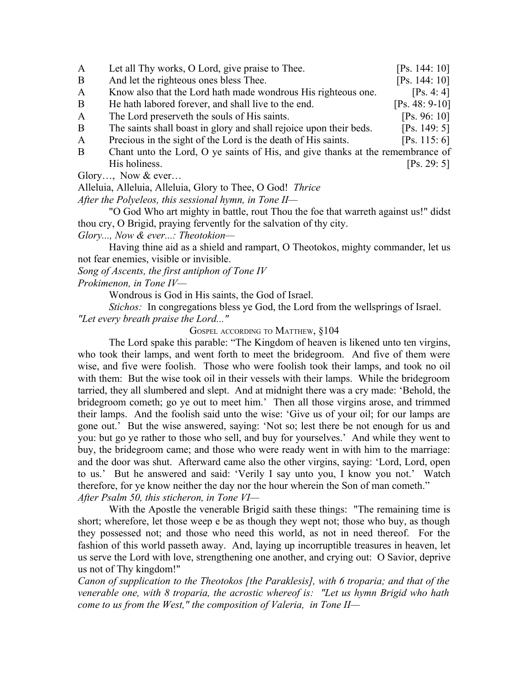| $\mathbf{A}$ | Let all Thy works, O Lord, give praise to Thee.                                | [Ps. 144: 10]    |  |
|--------------|--------------------------------------------------------------------------------|------------------|--|
| B            | And let the righteous ones bless Thee.                                         | [Ps. 144: 10]    |  |
| $\mathbf{A}$ | Know also that the Lord hath made wondrous His righteous one.                  | [Ps. 4: 4]       |  |
| B            | He hath labored forever, and shall live to the end.                            | $[Ps. 48: 9-10]$ |  |
| $\mathbf{A}$ | The Lord preserveth the souls of His saints.                                   | [Ps. 96: 10]     |  |
| B            | The saints shall boast in glory and shall rejoice upon their beds.             | [Ps. 149: 5]     |  |
| $\mathbf{A}$ | Precious in the sight of the Lord is the death of His saints.                  | [Ps. 115: 6]     |  |
| B            | Chant unto the Lord, O ye saints of His, and give thanks at the remembrance of |                  |  |
|              | His holiness.                                                                  | [Ps. 29: 5]      |  |

Glory…, Now & ever…

Alleluia, Alleluia, Alleluia, Glory to Thee, O God! *Thrice*

*After the Polyeleos, this sessional hymn, in Tone II—*

"O God Who art mighty in battle, rout Thou the foe that warreth against us!" didst thou cry, O Brigid, praying fervently for the salvation of thy city.

*Glory..., Now & ever...: Theotokion—*

Having thine aid as a shield and rampart, O Theotokos, mighty commander, let us not fear enemies, visible or invisible.

*Song of Ascents, the first antiphon of Tone IV*

*Prokimenon, in Tone IV—*

Wondrous is God in His saints, the God of Israel.

*Stichos:* In congregations bless ye God, the Lord from the wellsprings of Israel. *"Let every breath praise the Lord..."*

GOSPEL ACCORDING TO MATTHEW, §104

The Lord spake this parable: "The Kingdom of heaven is likened unto ten virgins, who took their lamps, and went forth to meet the bridegroom. And five of them were wise, and five were foolish. Those who were foolish took their lamps, and took no oil with them: But the wise took oil in their vessels with their lamps. While the bridegroom tarried, they all slumbered and slept. And at midnight there was a cry made: 'Behold, the bridegroom cometh; go ye out to meet him.' Then all those virgins arose, and trimmed their lamps. And the foolish said unto the wise: 'Give us of your oil; for our lamps are gone out.' But the wise answered, saying: 'Not so; lest there be not enough for us and you: but go ye rather to those who sell, and buy for yourselves.' And while they went to buy, the bridegroom came; and those who were ready went in with him to the marriage: and the door was shut. Afterward came also the other virgins, saying: 'Lord, Lord, open to us.' But he answered and said: 'Verily I say unto you, I know you not.' Watch therefore, for ye know neither the day nor the hour wherein the Son of man cometh." *After Psalm 50, this sticheron, in Tone VI—*

With the Apostle the venerable Brigid saith these things: "The remaining time is short; wherefore, let those weep e be as though they wept not; those who buy, as though they possessed not; and those who need this world, as not in need thereof. For the fashion of this world passeth away. And, laying up incorruptible treasures in heaven, let us serve the Lord with love, strengthening one another, and crying out: O Savior, deprive us not of Thy kingdom!"

*Canon of supplication to the Theotokos [the Paraklesis], with 6 troparia; and that of the venerable one, with 8 troparia, the acrostic whereof is: "Let us hymn Brigid who hath come to us from the West," the composition of Valeria, in Tone II—*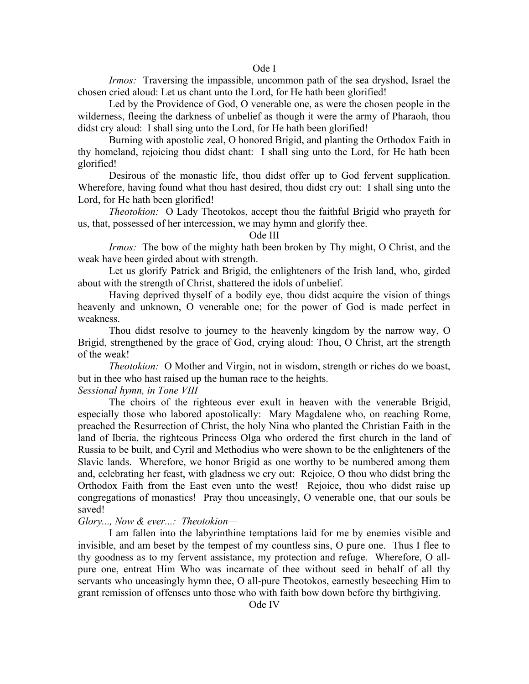## Ode I

*Irmos:* Traversing the impassible, uncommon path of the sea dryshod, Israel the chosen cried aloud: Let us chant unto the Lord, for He hath been glorified!

Led by the Providence of God, O venerable one, as were the chosen people in the wilderness, fleeing the darkness of unbelief as though it were the army of Pharaoh, thou didst cry aloud: I shall sing unto the Lord, for He hath been glorified!

Burning with apostolic zeal, O honored Brigid, and planting the Orthodox Faith in thy homeland, rejoicing thou didst chant: I shall sing unto the Lord, for He hath been glorified!

Desirous of the monastic life, thou didst offer up to God fervent supplication. Wherefore, having found what thou hast desired, thou didst cry out: I shall sing unto the Lord, for He hath been glorified!

*Theotokion:* O Lady Theotokos, accept thou the faithful Brigid who prayeth for us, that, possessed of her intercession, we may hymn and glorify thee.

#### Ode III

*Irmos:* The bow of the mighty hath been broken by Thy might, O Christ, and the weak have been girded about with strength.

Let us glorify Patrick and Brigid, the enlighteners of the Irish land, who, girded about with the strength of Christ, shattered the idols of unbelief.

Having deprived thyself of a bodily eye, thou didst acquire the vision of things heavenly and unknown, O venerable one; for the power of God is made perfect in weakness.

Thou didst resolve to journey to the heavenly kingdom by the narrow way, O Brigid, strengthened by the grace of God, crying aloud: Thou, O Christ, art the strength of the weak!

*Theotokion:* O Mother and Virgin, not in wisdom, strength or riches do we boast, but in thee who hast raised up the human race to the heights.

*Sessional hymn, in Tone VIII—*

The choirs of the righteous ever exult in heaven with the venerable Brigid, especially those who labored apostolically: Mary Magdalene who, on reaching Rome, preached the Resurrection of Christ, the holy Nina who planted the Christian Faith in the land of Iberia, the righteous Princess Olga who ordered the first church in the land of Russia to be built, and Cyril and Methodius who were shown to be the enlighteners of the Slavic lands. Wherefore, we honor Brigid as one worthy to be numbered among them and, celebrating her feast, with gladness we cry out: Rejoice, O thou who didst bring the Orthodox Faith from the East even unto the west! Rejoice, thou who didst raise up congregations of monastics! Pray thou unceasingly, O venerable one, that our souls be saved!

#### *Glory..., Now & ever...: Theotokion—*

I am fallen into the labyrinthine temptations laid for me by enemies visible and invisible, and am beset by the tempest of my countless sins, O pure one. Thus I flee to thy goodness as to my fervent assistance, my protection and refuge. Wherefore, O allpure one, entreat Him Who was incarnate of thee without seed in behalf of all thy servants who unceasingly hymn thee, O all-pure Theotokos, earnestly beseeching Him to grant remission of offenses unto those who with faith bow down before thy birthgiving.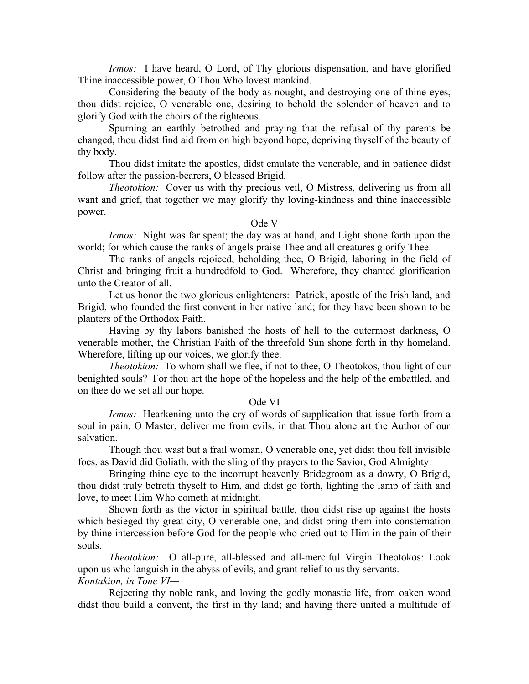*Irmos:* I have heard, O Lord, of Thy glorious dispensation, and have glorified Thine inaccessible power, O Thou Who lovest mankind.

Considering the beauty of the body as nought, and destroying one of thine eyes, thou didst rejoice, O venerable one, desiring to behold the splendor of heaven and to glorify God with the choirs of the righteous.

Spurning an earthly betrothed and praying that the refusal of thy parents be changed, thou didst find aid from on high beyond hope, depriving thyself of the beauty of thy body.

Thou didst imitate the apostles, didst emulate the venerable, and in patience didst follow after the passion-bearers, O blessed Brigid.

*Theotokion:* Cover us with thy precious veil, O Mistress, delivering us from all want and grief, that together we may glorify thy loving-kindness and thine inaccessible power.

## Ode V

*Irmos:* Night was far spent; the day was at hand, and Light shone forth upon the world; for which cause the ranks of angels praise Thee and all creatures glorify Thee.

The ranks of angels rejoiced, beholding thee, O Brigid, laboring in the field of Christ and bringing fruit a hundredfold to God. Wherefore, they chanted glorification unto the Creator of all.

Let us honor the two glorious enlighteners: Patrick, apostle of the Irish land, and Brigid, who founded the first convent in her native land; for they have been shown to be planters of the Orthodox Faith.

Having by thy labors banished the hosts of hell to the outermost darkness, O venerable mother, the Christian Faith of the threefold Sun shone forth in thy homeland. Wherefore, lifting up our voices, we glorify thee.

*Theotokion:* To whom shall we flee, if not to thee, O Theotokos, thou light of our benighted souls? For thou art the hope of the hopeless and the help of the embattled, and on thee do we set all our hope.

### Ode VI

*Irmos:* Hearkening unto the cry of words of supplication that issue forth from a soul in pain, O Master, deliver me from evils, in that Thou alone art the Author of our salvation.

Though thou wast but a frail woman, O venerable one, yet didst thou fell invisible foes, as David did Goliath, with the sling of thy prayers to the Savior, God Almighty.

Bringing thine eye to the incorrupt heavenly Bridegroom as a dowry, O Brigid, thou didst truly betroth thyself to Him, and didst go forth, lighting the lamp of faith and love, to meet Him Who cometh at midnight.

Shown forth as the victor in spiritual battle, thou didst rise up against the hosts which besieged thy great city, O venerable one, and didst bring them into consternation by thine intercession before God for the people who cried out to Him in the pain of their souls.

*Theotokion:* O all-pure, all-blessed and all-merciful Virgin Theotokos: Look upon us who languish in the abyss of evils, and grant relief to us thy servants. *Kontakion, in Tone VI—*

Rejecting thy noble rank, and loving the godly monastic life, from oaken wood didst thou build a convent, the first in thy land; and having there united a multitude of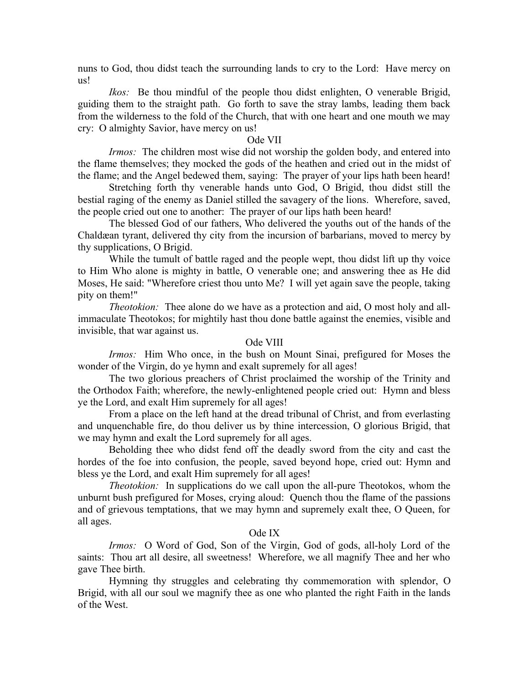nuns to God, thou didst teach the surrounding lands to cry to the Lord: Have mercy on us!

*Ikos:* Be thou mindful of the people thou didst enlighten, O venerable Brigid, guiding them to the straight path. Go forth to save the stray lambs, leading them back from the wilderness to the fold of the Church, that with one heart and one mouth we may cry: O almighty Savior, have mercy on us!

#### Ode VII

*Irmos:* The children most wise did not worship the golden body, and entered into the flame themselves; they mocked the gods of the heathen and cried out in the midst of the flame; and the Angel bedewed them, saying: The prayer of your lips hath been heard!

Stretching forth thy venerable hands unto God, O Brigid, thou didst still the bestial raging of the enemy as Daniel stilled the savagery of the lions. Wherefore, saved, the people cried out one to another: The prayer of our lips hath been heard!

The blessed God of our fathers, Who delivered the youths out of the hands of the Chaldæan tyrant, delivered thy city from the incursion of barbarians, moved to mercy by thy supplications, O Brigid.

While the tumult of battle raged and the people wept, thou didst lift up thy voice to Him Who alone is mighty in battle, O venerable one; and answering thee as He did Moses, He said: "Wherefore criest thou unto Me? I will yet again save the people, taking pity on them!"

*Theotokion:* Thee alone do we have as a protection and aid, O most holy and allimmaculate Theotokos; for mightily hast thou done battle against the enemies, visible and invisible, that war against us.

## Ode VIII

*Irmos:* Him Who once, in the bush on Mount Sinai, prefigured for Moses the wonder of the Virgin, do ye hymn and exalt supremely for all ages!

The two glorious preachers of Christ proclaimed the worship of the Trinity and the Orthodox Faith; wherefore, the newly-enlightened people cried out: Hymn and bless ye the Lord, and exalt Him supremely for all ages!

From a place on the left hand at the dread tribunal of Christ, and from everlasting and unquenchable fire, do thou deliver us by thine intercession, O glorious Brigid, that we may hymn and exalt the Lord supremely for all ages.

Beholding thee who didst fend off the deadly sword from the city and cast the hordes of the foe into confusion, the people, saved beyond hope, cried out: Hymn and bless ye the Lord, and exalt Him supremely for all ages!

*Theotokion:* In supplications do we call upon the all-pure Theotokos, whom the unburnt bush prefigured for Moses, crying aloud: Quench thou the flame of the passions and of grievous temptations, that we may hymn and supremely exalt thee, O Queen, for all ages.

## Ode IX

*Irmos:* O Word of God, Son of the Virgin, God of gods, all-holy Lord of the saints: Thou art all desire, all sweetness! Wherefore, we all magnify Thee and her who gave Thee birth.

Hymning thy struggles and celebrating thy commemoration with splendor, O Brigid, with all our soul we magnify thee as one who planted the right Faith in the lands of the West.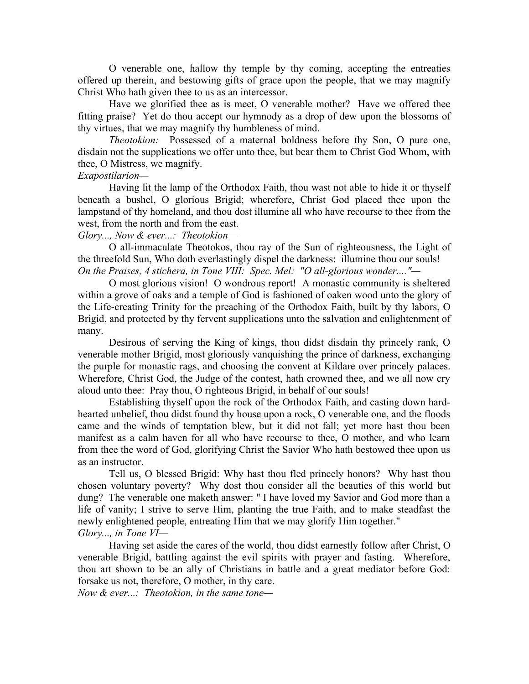O venerable one, hallow thy temple by thy coming, accepting the entreaties offered up therein, and bestowing gifts of grace upon the people, that we may magnify Christ Who hath given thee to us as an intercessor.

Have we glorified thee as is meet, O venerable mother? Have we offered thee fitting praise? Yet do thou accept our hymnody as a drop of dew upon the blossoms of thy virtues, that we may magnify thy humbleness of mind.

*Theotokion:* Possessed of a maternal boldness before thy Son, O pure one, disdain not the supplications we offer unto thee, but bear them to Christ God Whom, with thee, O Mistress, we magnify.

## *Exapostilarion—*

Having lit the lamp of the Orthodox Faith, thou wast not able to hide it or thyself beneath a bushel, O glorious Brigid; wherefore, Christ God placed thee upon the lampstand of thy homeland, and thou dost illumine all who have recourse to thee from the west, from the north and from the east.

### *Glory..., Now & ever...: Theotokion—*

O all-immaculate Theotokos, thou ray of the Sun of righteousness, the Light of the threefold Sun, Who doth everlastingly dispel the darkness: illumine thou our souls! *On the Praises, 4 stichera, in Tone VIII: Spec. Mel: "O all-glorious wonder...."—*

O most glorious vision! O wondrous report! A monastic community is sheltered within a grove of oaks and a temple of God is fashioned of oaken wood unto the glory of the Life-creating Trinity for the preaching of the Orthodox Faith, built by thy labors, O Brigid, and protected by thy fervent supplications unto the salvation and enlightenment of many.

Desirous of serving the King of kings, thou didst disdain thy princely rank, O venerable mother Brigid, most gloriously vanquishing the prince of darkness, exchanging the purple for monastic rags, and choosing the convent at Kildare over princely palaces. Wherefore, Christ God, the Judge of the contest, hath crowned thee, and we all now cry aloud unto thee: Pray thou, O righteous Brigid, in behalf of our souls!

Establishing thyself upon the rock of the Orthodox Faith, and casting down hardhearted unbelief, thou didst found thy house upon a rock, O venerable one, and the floods came and the winds of temptation blew, but it did not fall; yet more hast thou been manifest as a calm haven for all who have recourse to thee, O mother, and who learn from thee the word of God, glorifying Christ the Savior Who hath bestowed thee upon us as an instructor.

Tell us, O blessed Brigid: Why hast thou fled princely honors? Why hast thou chosen voluntary poverty? Why dost thou consider all the beauties of this world but dung? The venerable one maketh answer: " I have loved my Savior and God more than a life of vanity; I strive to serve Him, planting the true Faith, and to make steadfast the newly enlightened people, entreating Him that we may glorify Him together." *Glory..., in Tone VI—*

Having set aside the cares of the world, thou didst earnestly follow after Christ, O venerable Brigid, battling against the evil spirits with prayer and fasting. Wherefore, thou art shown to be an ally of Christians in battle and a great mediator before God: forsake us not, therefore, O mother, in thy care.

*Now & ever...: Theotokion, in the same tone—*